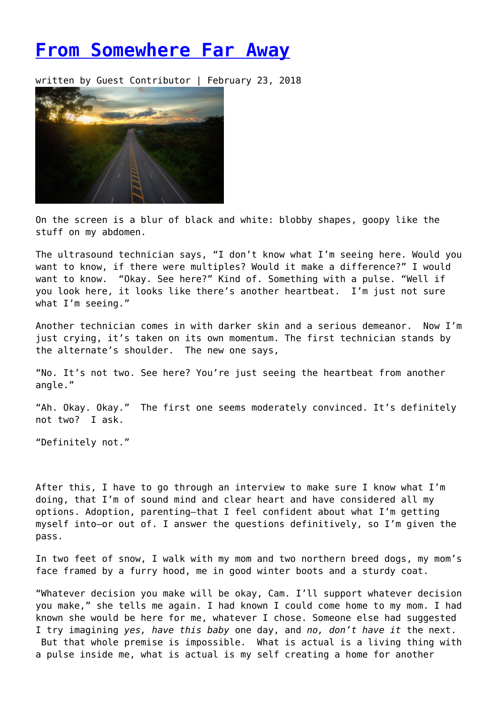## **[From Somewhere Far Away](https://entropymag.org/from-somewhere-far-away/)**

written by Guest Contributor | February 23, 2018



On the screen is a blur of black and white: blobby shapes, goopy like the stuff on my abdomen.

The ultrasound technician says, "I don't know what I'm seeing here. Would you want to know, if there were multiples? Would it make a difference?" I would want to know. "Okay. See here?" Kind of. Something with a pulse. "Well if you look here, it looks like there's another heartbeat. I'm just not sure what I'm seeing."

Another technician comes in with darker skin and a serious demeanor. Now I'm just crying, it's taken on its own momentum. The first technician stands by the alternate's shoulder. The new one says,

"No. It's not two. See here? You're just seeing the heartbeat from another angle."

"Ah. Okay. Okay." The first one seems moderately convinced. It's definitely not two? I ask.

"Definitely not."

After this, I have to go through an interview to make sure I know what I'm doing, that I'm of sound mind and clear heart and have considered all my options. Adoption, parenting—that I feel confident about what I'm getting myself into—or out of. I answer the questions definitively, so I'm given the pass.

In two feet of snow, I walk with my mom and two northern breed dogs, my mom's face framed by a furry hood, me in good winter boots and a sturdy coat.

"Whatever decision you make will be okay, Cam. I'll support whatever decision you make," she tells me again. I had known I could come home to my mom. I had known she would be here for me, whatever I chose. Someone else had suggested I try imagining *yes, have this baby* one day, and *no, don't have it* the next. But that whole premise is impossible. What is actual is a living thing with a pulse inside me, what is actual is my self creating a home for another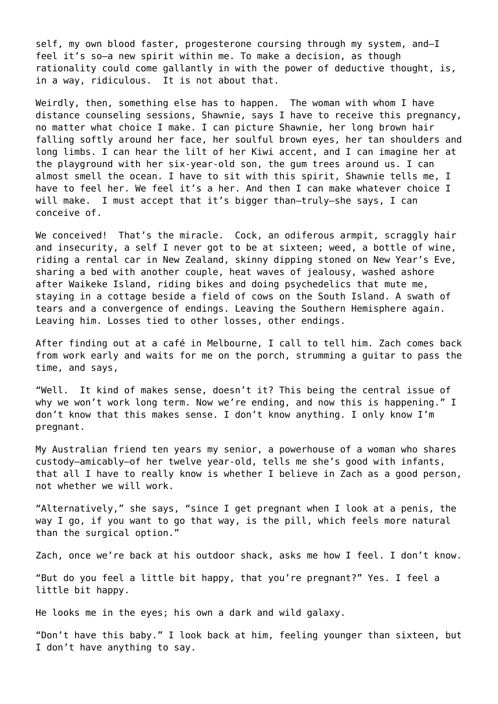self, my own blood faster, progesterone coursing through my system, and—I feel it's so—a new spirit within me. To make a decision, as though rationality could come gallantly in with the power of deductive thought, is, in a way, ridiculous. It is not about that.

Weirdly, then, something else has to happen. The woman with whom I have distance counseling sessions, Shawnie, says I have to receive this pregnancy, no matter what choice I make. I can picture Shawnie, her long brown hair falling softly around her face, her soulful brown eyes, her tan shoulders and long limbs. I can hear the lilt of her Kiwi accent, and I can imagine her at the playground with her six-year-old son, the gum trees around us. I can almost smell the ocean. I have to sit with this spirit, Shawnie tells me, I have to feel her. We feel it's a her. And then I can make whatever choice I will make. I must accept that it's bigger than-truly-she says, I can conceive of.

We conceived! That's the miracle. Cock, an odiferous armpit, scraggly hair and insecurity, a self I never got to be at sixteen; weed, a bottle of wine, riding a rental car in New Zealand, skinny dipping stoned on New Year's Eve, sharing a bed with another couple, heat waves of jealousy, washed ashore after Waikeke Island, riding bikes and doing psychedelics that mute me, staying in a cottage beside a field of cows on the South Island. A swath of tears and a convergence of endings. Leaving the Southern Hemisphere again. Leaving him. Losses tied to other losses, other endings.

After finding out at a café in Melbourne, I call to tell him. Zach comes back from work early and waits for me on the porch, strumming a guitar to pass the time, and says,

"Well. It kind of makes sense, doesn't it? This being the central issue of why we won't work long term. Now we're ending, and now this is happening." I don't know that this makes sense. I don't know anything. I only know I'm pregnant.

My Australian friend ten years my senior, a powerhouse of a woman who shares custody—amicably—of her twelve year-old, tells me she's good with infants, that all I have to really know is whether I believe in Zach as a good person, not whether we will work.

"Alternatively," she says, "since I get pregnant when I look at a penis, the way I go, if you want to go that way, is the pill, which feels more natural than the surgical option."

Zach, once we're back at his outdoor shack, asks me how I feel. I don't know.

"But do you feel a little bit happy, that you're pregnant?" Yes. I feel a little bit happy.

He looks me in the eyes; his own a dark and wild galaxy.

"Don't have this baby." I look back at him, feeling younger than sixteen, but I don't have anything to say.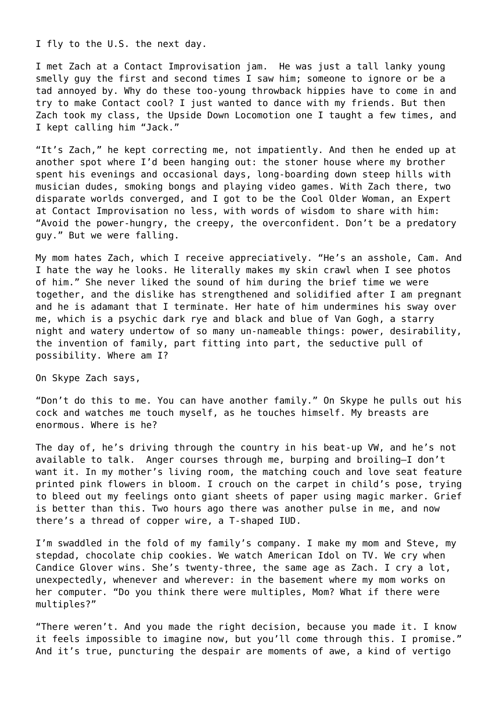I fly to the U.S. the next day.

I met Zach at a Contact Improvisation jam. He was just a tall lanky young smelly guy the first and second times I saw him; someone to ignore or be a tad annoyed by. Why do these too-young throwback hippies have to come in and try to make Contact cool? I just wanted to dance with my friends. But then Zach took my class, the Upside Down Locomotion one I taught a few times, and I kept calling him "Jack."

"It's Zach," he kept correcting me, not impatiently. And then he ended up at another spot where I'd been hanging out: the stoner house where my brother spent his evenings and occasional days, long-boarding down steep hills with musician dudes, smoking bongs and playing video games. With Zach there, two disparate worlds converged, and I got to be the Cool Older Woman, an Expert at Contact Improvisation no less, with words of wisdom to share with him: "Avoid the power-hungry, the creepy, the overconfident. Don't be a predatory guy." But we were falling.

My mom hates Zach, which I receive appreciatively. "He's an asshole, Cam. And I hate the way he looks. He literally makes my skin crawl when I see photos of him." She never liked the sound of him during the brief time we were together, and the dislike has strengthened and solidified after I am pregnant and he is adamant that I terminate. Her hate of him undermines his sway over me, which is a psychic dark rye and black and blue of Van Gogh, a starry night and watery undertow of so many un-nameable things: power, desirability, the invention of family, part fitting into part, the seductive pull of possibility. Where am I?

On Skype Zach says,

"Don't do this to me. You can have another family." On Skype he pulls out his cock and watches me touch myself, as he touches himself. My breasts are enormous. Where is he?

The day of, he's driving through the country in his beat-up VW, and he's not available to talk. Anger courses through me, burping and broiling—I don't want it. In my mother's living room, the matching couch and love seat feature printed pink flowers in bloom. I crouch on the carpet in child's pose, trying to bleed out my feelings onto giant sheets of paper using magic marker. Grief is better than this. Two hours ago there was another pulse in me, and now there's a thread of copper wire, a T-shaped IUD.

I'm swaddled in the fold of my family's company. I make my mom and Steve, my stepdad, chocolate chip cookies. We watch American Idol on TV. We cry when Candice Glover wins. She's twenty-three, the same age as Zach. I cry a lot, unexpectedly, whenever and wherever: in the basement where my mom works on her computer. "Do you think there were multiples, Mom? What if there were multiples?"

"There weren't. And you made the right decision, because you made it. I know it feels impossible to imagine now, but you'll come through this. I promise." And it's true, puncturing the despair are moments of awe, a kind of vertigo